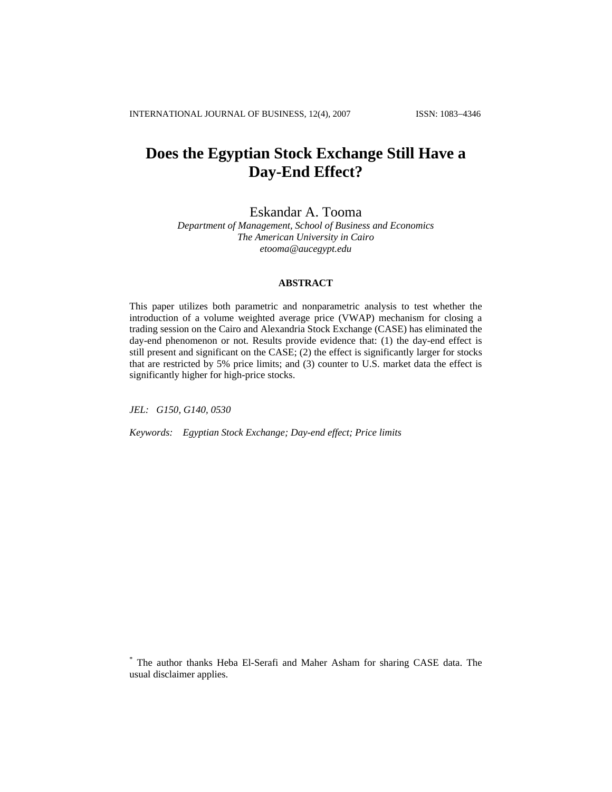# **Does the Egyptian Stock Exchange Still Have a Day-End Effect?**

Eskandar A. Tooma

*Department of Management, School of Business and Economics The American University in Cairo [etooma@aucegypt.edu](mailto:etooma@aucegypt.edu)*

# **ABSTRACT**

This paper utilizes both parametric and nonparametric analysis to test whether the introduction of a volume weighted average price (VWAP) mechanism for closing a trading session on the Cairo and Alexandria Stock Exchange (CASE) has eliminated the day-end phenomenon or not. Results provide evidence that: (1) the day-end effect is still present and significant on the CASE; (2) the effect is significantly larger for stocks that are restricted by 5% price limits; and (3) counter to U.S. market data the effect is significantly higher for high-price stocks.

*JEL: G150, G140, 0530* 

*Keywords: Egyptian Stock Exchange; Day-end effect; Price limits* 

<sup>\*</sup> The author thanks Heba El-Serafi and Maher Asham for sharing CASE data. The usual disclaimer applies.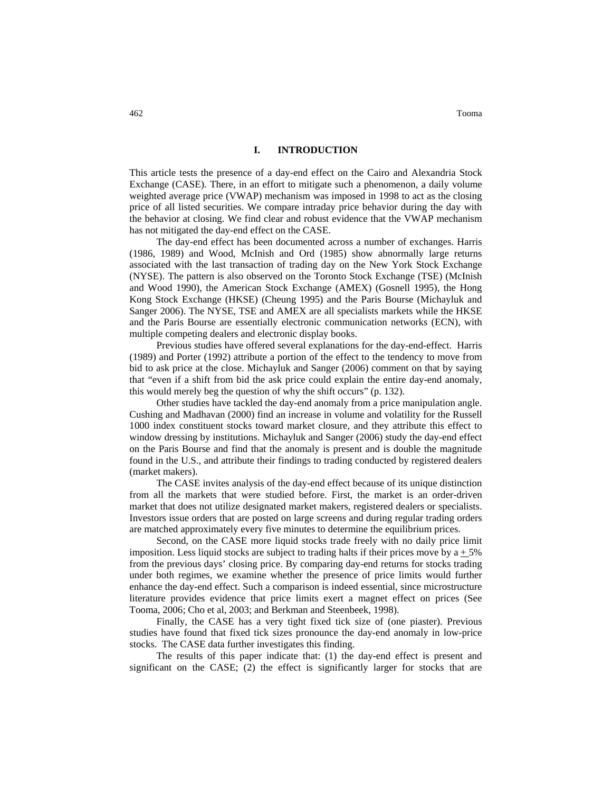462 Tooma

#### **I. INTRODUCTION**

This article tests the presence of a day-end effect on the Cairo and Alexandria Stock Exchange (CASE). There, in an effort to mitigate such a phenomenon, a daily volume weighted average price (VWAP) mechanism was imposed in 1998 to act as the closing price of all listed securities. We compare intraday price behavior during the day with the behavior at closing. We find clear and robust evidence that the VWAP mechanism has not mitigated the day-end effect on the CASE.

The day-end effect has been documented across a number of exchanges. Harris (1986, 1989) and Wood, McInish and Ord (1985) show abnormally large returns associated with the last transaction of trading day on the New York Stock Exchange (NYSE). The pattern is also observed on the Toronto Stock Exchange (TSE) (McInish and Wood 1990), the American Stock Exchange (AMEX) (Gosnell 1995), the Hong Kong Stock Exchange (HKSE) (Cheung 1995) and the Paris Bourse (Michayluk and Sanger 2006). The NYSE, TSE and AMEX are all specialists markets while the HKSE and the Paris Bourse are essentially electronic communication networks (ECN), with multiple competing dealers and electronic display books.

Previous studies have offered several explanations for the day-end-effect. Harris (1989) and Porter (1992) attribute a portion of the effect to the tendency to move from bid to ask price at the close. Michayluk and Sanger (2006) comment on that by saying that "even if a shift from bid the ask price could explain the entire day-end anomaly, this would merely beg the question of why the shift occurs" (p. 132).

Other studies have tackled the day-end anomaly from a price manipulation angle. Cushing and Madhavan (2000) find an increase in volume and volatility for the Russell 1000 index constituent stocks toward market closure, and they attribute this effect to window dressing by institutions. Michayluk and Sanger (2006) study the day-end effect on the Paris Bourse and find that the anomaly is present and is double the magnitude found in the U.S., and attribute their findings to trading conducted by registered dealers (market makers).

The CASE invites analysis of the day-end effect because of its unique distinction from all the markets that were studied before. First, the market is an order-driven market that does not utilize designated market makers, registered dealers or specialists. Investors issue orders that are posted on large screens and during regular trading orders are matched approximately every five minutes to determine the equilibrium prices.

Second, on the CASE more liquid stocks trade freely with no daily price limit imposition. Less liquid stocks are subject to trading halts if their prices move by  $a \pm 5\%$ from the previous days' closing price. By comparing day-end returns for stocks trading under both regimes, we examine whether the presence of price limits would further enhance the day-end effect. Such a comparison is indeed essential, since microstructure literature provides evidence that price limits exert a magnet effect on prices (See Tooma, 2006; Cho et al, 2003; and Berkman and Steenbeek, 1998).

Finally, the CASE has a very tight fixed tick size of (one piaster). Previous studies have found that fixed tick sizes pronounce the day-end anomaly in low-price stocks. The CASE data further investigates this finding.

The results of this paper indicate that: (1) the day-end effect is present and significant on the CASE; (2) the effect is significantly larger for stocks that are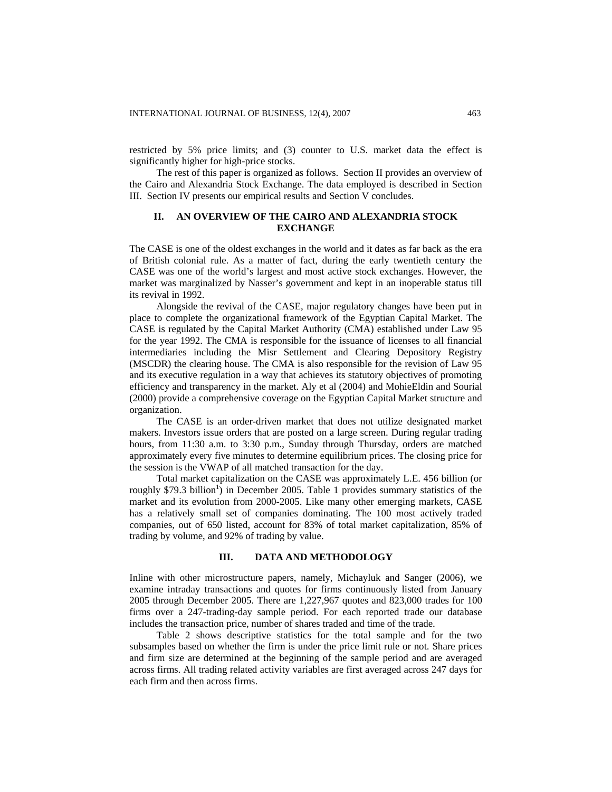restricted by 5% price limits; and (3) counter to U.S. market data the effect is significantly higher for high-price stocks.

The rest of this paper is organized as follows. Section II provides an overview of the Cairo and Alexandria Stock Exchange. The data employed is described in Section III. Section IV presents our empirical results and Section V concludes.

# **II. AN OVERVIEW OF THE CAIRO AND ALEXANDRIA STOCK EXCHANGE**

The CASE is one of the oldest exchanges in the world and it dates as far back as the era of British colonial rule. As a matter of fact, during the early twentieth century the CASE was one of the world's largest and most active stock exchanges. However, the market was marginalized by Nasser's government and kept in an inoperable status till its revival in 1992.

Alongside the revival of the CASE, major regulatory changes have been put in place to complete the organizational framework of the Egyptian Capital Market. The CASE is regulated by the Capital Market Authority (CMA) established under Law 95 for the year 1992. The CMA is responsible for the issuance of licenses to all financial intermediaries including the Misr Settlement and Clearing Depository Registry (MSCDR) the clearing house. The CMA is also responsible for the revision of Law 95 and its executive regulation in a way that achieves its statutory objectives of promoting efficiency and transparency in the market. Aly et al (2004) and MohieEldin and Sourial (2000) provide a comprehensive coverage on the Egyptian Capital Market structure and organization.

The CASE is an order-driven market that does not utilize designated market makers. Investors issue orders that are posted on a large screen. During regular trading hours, from 11:30 a.m. to 3:30 p.m., Sunday through Thursday, orders are matched approximately every five minutes to determine equilibrium prices. The closing price for the session is the VWAP of all matched transaction for the day.

Total market capitalization on the CASE was approximately L.E. 456 billion (or roughly \$79.3 billion<sup>1</sup>) in December 2005. Table 1 provides summary statistics of the market and its evolution from 2000-2005. Like many other emerging markets, CASE has a relatively small set of companies dominating. The 100 most actively traded companies, out of 650 listed, account for 83% of total market capitalization, 85% of trading by volume, and 92% of trading by value.

#### **III. DATA AND METHODOLOGY**

Inline with other microstructure papers, namely, Michayluk and Sanger (2006), we examine intraday transactions and quotes for firms continuously listed from January 2005 through December 2005. There are 1,227,967 quotes and 823,000 trades for 100 firms over a 247-trading-day sample period. For each reported trade our database includes the transaction price, number of shares traded and time of the trade.

Table 2 shows descriptive statistics for the total sample and for the two subsamples based on whether the firm is under the price limit rule or not. Share prices and firm size are determined at the beginning of the sample period and are averaged across firms. All trading related activity variables are first averaged across 247 days for each firm and then across firms.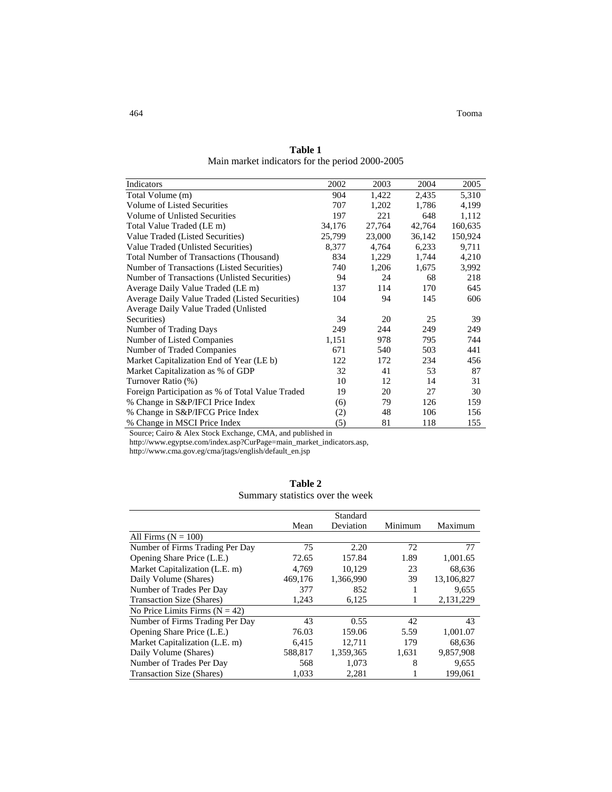464 Tooma

| Indicators                                       | 2002   | 2003   | 2004   | 2005    |
|--------------------------------------------------|--------|--------|--------|---------|
| Total Volume (m)                                 | 904    | 1,422  | 2,435  | 5,310   |
| Volume of Listed Securities                      | 707    | 1,202  | 1,786  | 4,199   |
| Volume of Unlisted Securities                    | 197    | 221    | 648    | 1,112   |
| Total Value Traded (LE m)                        | 34,176 | 27,764 | 42,764 | 160,635 |
| Value Traded (Listed Securities)                 | 25,799 | 23,000 | 36,142 | 150,924 |
| Value Traded (Unlisted Securities)               | 8,377  | 4,764  | 6,233  | 9,711   |
| <b>Total Number of Transactions (Thousand)</b>   | 834    | 1,229  | 1,744  | 4,210   |
| Number of Transactions (Listed Securities)       | 740    | 1,206  | 1,675  | 3,992   |
| Number of Transactions (Unlisted Securities)     | 94     | 24     | 68     | 218     |
| Average Daily Value Traded (LE m)                | 137    | 114    | 170    | 645     |
| Average Daily Value Traded (Listed Securities)   | 104    | 94     | 145    | 606     |
| Average Daily Value Traded (Unlisted             |        |        |        |         |
| Securities)                                      | 34     | 20     | 25     | 39      |
| Number of Trading Days                           | 249    | 244    | 249    | 249     |
| Number of Listed Companies                       | 1,151  | 978    | 795    | 744     |
| Number of Traded Companies                       | 671    | 540    | 503    | 441     |
| Market Capitalization End of Year (LE b)         | 122    | 172    | 234    | 456     |
| Market Capitalization as % of GDP                | 32     | 41     | 53     | 87      |
| Turnover Ratio (%)                               | 10     | 12     | 14     | 31      |
| Foreign Participation as % of Total Value Traded | 19     | 20     | 27     | 30      |
| % Change in S&P/IFCI Price Index                 | (6)    | 79     | 126    | 159     |
| % Change in S&P/IFCG Price Index                 | (2)    | 48     | 106    | 156     |
| % Change in MSCI Price Index                     | (5)    | 81     | 118    | 155     |

**Table 1**  Main market indicators for the period 2000-2005

Source; Cairo & Alex Stock Exchange, CMA, and published in

[http://www.egyptse.com/index.asp?CurPage=main\\_market\\_indicators.asp,](http://www.egyptse.com/index.asp?CurPage=main_market_indicators.asp)

[http://www.cma.gov.eg/cma/jtags/english/default\\_en.jsp](http://www.cma.gov.eg/cma/jtags/english/default_en.jsp)

|                                  | Table 2 |  |  |
|----------------------------------|---------|--|--|
| Summary statistics over the week |         |  |  |

|                                  |         | Standard  |         |             |
|----------------------------------|---------|-----------|---------|-------------|
|                                  | Mean    | Deviation | Minimum | Maximum     |
| All Firms $(N = 100)$            |         |           |         |             |
| Number of Firms Trading Per Day  | 75      | 2.20      | 72      | 77          |
| Opening Share Price (L.E.)       | 72.65   | 157.84    | 1.89    | 1,001.65    |
| Market Capitalization (L.E. m)   | 4,769   | 10,129    | 23      | 68,636      |
| Daily Volume (Shares)            | 469.176 | 1.366.990 | 39      | 13.106.827  |
| Number of Trades Per Day         | 377     | 852       |         | 9,655       |
| Transaction Size (Shares)        | 1,243   | 6,125     |         | 2, 131, 229 |
| No Price Limits Firms $(N = 42)$ |         |           |         |             |
| Number of Firms Trading Per Day  | 43      | 0.55      | 42      | 43          |
| Opening Share Price (L.E.)       | 76.03   | 159.06    | 5.59    | 1,001.07    |
| Market Capitalization (L.E. m)   | 6.415   | 12,711    | 179     | 68.636      |
| Daily Volume (Shares)            | 588,817 | 1,359,365 | 1,631   | 9,857,908   |
| Number of Trades Per Day         | 568     | 1,073     | 8       | 9,655       |
| <b>Transaction Size (Shares)</b> | 1,033   | 2,281     |         | 199,061     |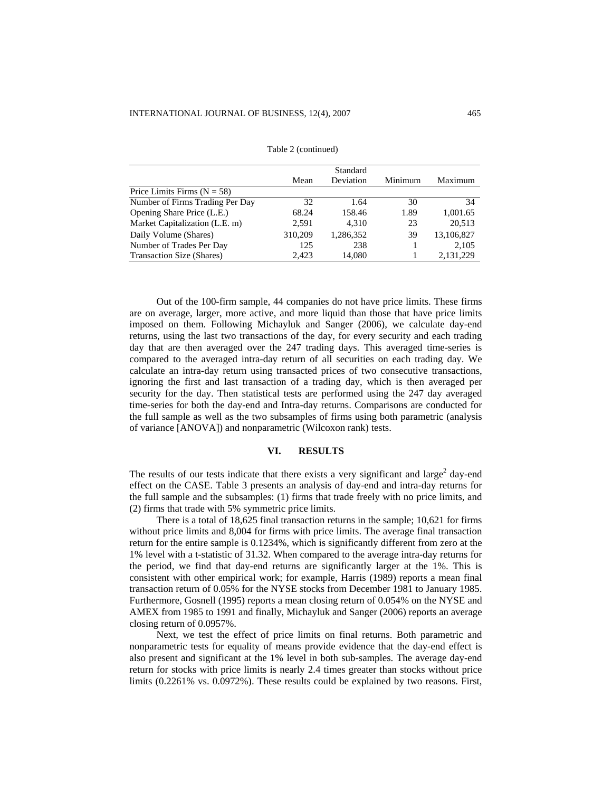|                                 |         | Standard  |         |            |
|---------------------------------|---------|-----------|---------|------------|
|                                 | Mean    | Deviation | Minimum | Maximum    |
| Price Limits Firms $(N = 58)$   |         |           |         |            |
| Number of Firms Trading Per Day | 32      | 1.64      | 30      | 34         |
| Opening Share Price (L.E.)      | 68.24   | 158.46    | 1.89    | 1,001.65   |
| Market Capitalization (L.E. m)  | 2,591   | 4,310     | 23      | 20,513     |
| Daily Volume (Shares)           | 310,209 | 1,286,352 | 39      | 13,106,827 |
| Number of Trades Per Day        | 125     | 238       |         | 2,105      |
| Transaction Size (Shares)       | 2.423   | 14,080    |         | 2,131,229  |

Table 2 (continued)

Out of the 100-firm sample, 44 companies do not have price limits. These firms are on average, larger, more active, and more liquid than those that have price limits imposed on them. Following Michayluk and Sanger (2006), we calculate day-end returns, using the last two transactions of the day, for every security and each trading day that are then averaged over the 247 trading days. This averaged time-series is compared to the averaged intra-day return of all securities on each trading day. We calculate an intra-day return using transacted prices of two consecutive transactions, ignoring the first and last transaction of a trading day, which is then averaged per security for the day. Then statistical tests are performed using the 247 day averaged time-series for both the day-end and Intra-day returns. Comparisons are conducted for the full sample as well as the two subsamples of firms using both parametric (analysis of variance [ANOVA]) and nonparametric (Wilcoxon rank) tests.

### **VI. RESULTS**

The results of our tests indicate that there exists a very significant and large<sup>2</sup> day-end effect on the CASE. Table 3 presents an analysis of day-end and intra-day returns for the full sample and the subsamples: (1) firms that trade freely with no price limits, and (2) firms that trade with 5% symmetric price limits.

There is a total of 18,625 final transaction returns in the sample; 10,621 for firms without price limits and 8,004 for firms with price limits. The average final transaction return for the entire sample is 0.1234%, which is significantly different from zero at the 1% level with a t-statistic of 31.32. When compared to the average intra-day returns for the period, we find that day-end returns are significantly larger at the 1%. This is consistent with other empirical work; for example, Harris (1989) reports a mean final transaction return of 0.05% for the NYSE stocks from December 1981 to January 1985. Furthermore, Gosnell (1995) reports a mean closing return of 0.054% on the NYSE and AMEX from 1985 to 1991 and finally, Michayluk and Sanger (2006) reports an average closing return of 0.0957%.

Next, we test the effect of price limits on final returns. Both parametric and nonparametric tests for equality of means provide evidence that the day-end effect is also present and significant at the 1% level in both sub-samples. The average day-end return for stocks with price limits is nearly 2.4 times greater than stocks without price limits (0.2261% vs. 0.0972%). These results could be explained by two reasons. First,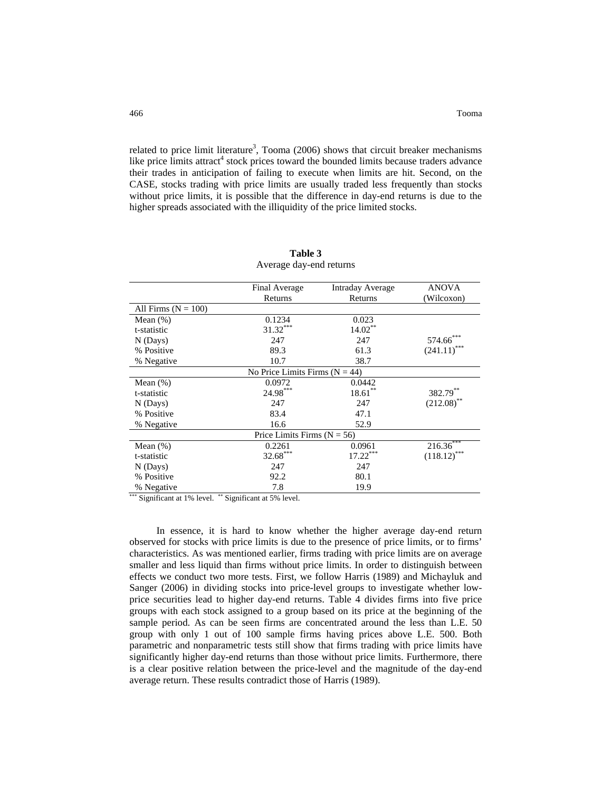related to price limit literature<sup>3</sup>, Tooma (2006) shows that circuit breaker mechanisms like price limits attract<sup>4</sup> stock prices toward the bounded limits because traders advance their trades in anticipation of failing to execute when limits are hit. Second, on the CASE, stocks trading with price limits are usually traded less frequently than stocks without price limits, it is possible that the difference in day-end returns is due to the higher spreads associated with the illiquidity of the price limited stocks.

|                       | Final Average                      | <b>Intraday Average</b> | <b>ANOVA</b>    |
|-----------------------|------------------------------------|-------------------------|-----------------|
|                       | Returns                            | Returns                 | (Wilcoxon)      |
| All Firms $(N = 100)$ |                                    |                         |                 |
| Mean $(\%)$           | 0.1234                             | 0.023                   |                 |
| t-statistic           | $31.32***$                         | $14.02***$              |                 |
| $N$ (Days)            | 247                                | 247                     | $574.66^\ast$   |
| % Positive            | 89.3                               | 61.3                    | (241.11)        |
| % Negative            | 10.7                               | 38.7                    |                 |
|                       | No Price Limits Firms ( $N = 44$ ) |                         |                 |
| Mean $(\%)$           | 0.0972                             | 0.0442                  |                 |
| t-statistic           | 24.98***                           | $18.61***$              | 382.79**        |
| $N$ (Days)            | 247                                | 247                     | $(212.08)$ **   |
| % Positive            | 83.4                               | 47.1                    |                 |
| % Negative            | 16.6                               | 52.9                    |                 |
|                       | Price Limits Firms $(N = 56)$      |                         |                 |
| Mean $(\%)$           | 0.2261                             | 0.0961                  | $216.36***$     |
| t-statistic           | $32.68***$                         | $17.22***$              | ***<br>(118.12) |
| $N$ (Days)            | 247                                | 247                     |                 |
| % Positive            | 92.2                               | 80.1                    |                 |
| % Negative            | 7.8                                | 19.9                    |                 |

**Table 3**  Average day-end returns

∗∗∗ Significant at 1% level. ∗∗ Significant at 5% level.

In essence, it is hard to know whether the higher average day-end return observed for stocks with price limits is due to the presence of price limits, or to firms' characteristics. As was mentioned earlier, firms trading with price limits are on average smaller and less liquid than firms without price limits. In order to distinguish between effects we conduct two more tests. First, we follow Harris (1989) and Michayluk and Sanger (2006) in dividing stocks into price-level groups to investigate whether lowprice securities lead to higher day-end returns. Table 4 divides firms into five price groups with each stock assigned to a group based on its price at the beginning of the sample period. As can be seen firms are concentrated around the less than L.E. 50 group with only 1 out of 100 sample firms having prices above L.E. 500. Both parametric and nonparametric tests still show that firms trading with price limits have significantly higher day-end returns than those without price limits. Furthermore, there is a clear positive relation between the price-level and the magnitude of the day-end average return. These results contradict those of Harris (1989).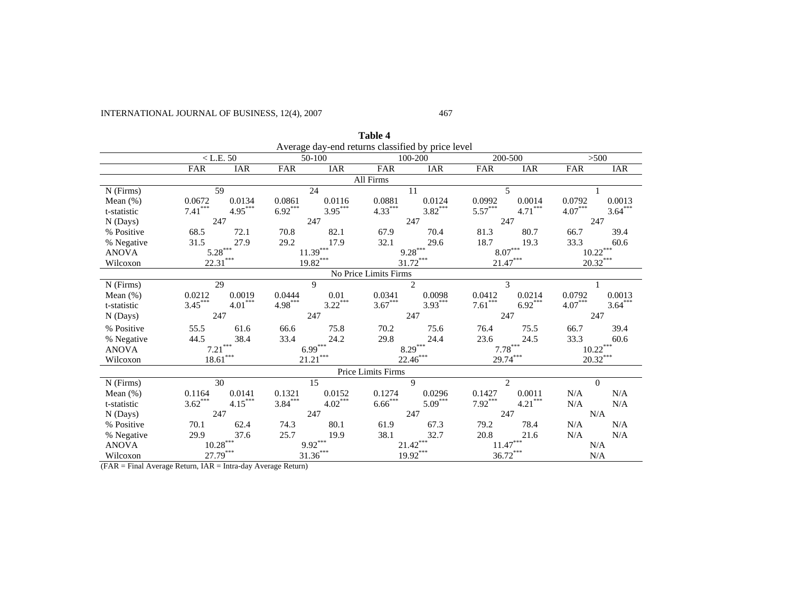# INTERNATIONAL JOURNAL OF BUSINESS, 12(4), 2007

#### 467

 $>500$ 

**IAR** 

**Table 4**  Average day-end returns classified by price level<br>50-100 100-200  $\langle$  L.E. 50  $\sim$  50-100  $\sim$  100-200  $\sim$  200-500  $\sim$  500 FAR IAR FAR IAR FAR IAR FAR IAR FAR IAR All Firms

| All Firms    |            |            |           |             |                       |                             |            |               |            |            |
|--------------|------------|------------|-----------|-------------|-----------------------|-----------------------------|------------|---------------|------------|------------|
| $N$ (Firms)  |            | 59         |           | 24          |                       | 11                          |            | 5             |            |            |
| Mean $(\%)$  | 0.0672     | 0.0134     | 0.0861    | 0.0116      | 0.0881                | 0.0124                      | 0.0992     | 0.0014        | 0.0792     | 0.0013     |
| t-statistic  | $7.41***$  | $4.95***$  | $6.92***$ | $3.95***$   | $4.33***$             | $3.82***$                   | $5.57***$  | $4.71***$     | $4.07***$  | $3.64***$  |
| N(Days)      | 247        |            |           | 247         |                       | 247                         | 247        |               | 247        |            |
| % Positive   | 68.5       | 72.1       | 70.8      | 82.1        | 67.9                  | 70.4                        | 81.3       | 80.7          | 66.7       | 39.4       |
| % Negative   | 31.5       | 27.9       | 29.2      | 17.9        | 32.1                  | 29.6                        | 18.7       | 19.3          | 33.3       | 60.6       |
| <b>ANOVA</b> |            | $5.28***$  |           | $11.39***$  |                       | $9.28***$                   |            | $8.07***$     |            | $10.22***$ |
| Wilcoxon     | $22.31***$ |            |           | $19.82***$  |                       | $31.72***$                  | $21.47***$ |               |            | $20.32***$ |
|              |            |            |           |             | No Price Limits Firms |                             |            |               |            |            |
| $N$ (Firms)  |            | 29         |           | $\mathbf Q$ |                       | $\mathcal{D}_{\mathcal{L}}$ |            | $\mathcal{E}$ |            |            |
| Mean $(\%)$  | 0.0212     | 0.0019     | 0.0444    | 0.01        | 0.0341                | 0.0098                      | 0.0412     | 0.0214        | 0.0792     | 0.0013     |
| t-statistic  | $3.45***$  | $4.01***$  | $4.98***$ | $3.22***$   | $3.67***$             | $3.93***$                   | $7.61***$  | $6.92***$     | $4.07***$  | $3.64***$  |
| N(Days)      |            | 247        |           | 247         |                       | 247                         | 247        |               | 247        |            |
| % Positive   | 55.5       | 61.6       | 66.6      | 75.8        | 70.2                  | 75.6                        | 76.4       | 75.5          | 66.7       | 39.4       |
| % Negative   | 44.5       | 38.4       | 33.4      | 24.2        | 29.8                  | 24.4                        | 23.6       | 24.5          | 33.3       | 60.6       |
| <b>ANOVA</b> |            | $7.21***$  |           | $6.99***$   |                       | $8.29***$                   |            | $7.78***$     |            | $10.22***$ |
| Wilcoxon     |            | $18.61***$ |           | $21.21***$  |                       | $22.46***$                  |            | $29.74***$    | $20.32***$ |            |
|              |            |            |           |             | Price Limits Firms    |                             |            |               |            |            |
| $N$ (Firms)  |            | 30         |           | 15          |                       | 9                           |            | 2             | $\Omega$   |            |
| Mean $(\%)$  | 0.1164     | 0.0141     | 0.1321    | 0.0152      | 0.1274                | 0.0296                      | 0.1427     | 0.0011        | N/A        | N/A        |
| t-statistic  | $3.62***$  | $4.15***$  | $3.84***$ | $4.02***$   | $6.66***$             | $5.09***$                   | $7.92***$  | $4.21***$     | N/A        | N/A        |
| N(Days)      | 247        |            |           | 247         |                       | 247                         | 247        |               |            | N/A        |
| % Positive   | 70.1       | 62.4       | 74.3      | 80.1        | 61.9                  | 67.3                        | 79.2       | 78.4          | N/A        | N/A        |
| % Negative   | 29.9       | 37.6       | 25.7      | 19.9        | 38.1                  | 32.7                        | 20.8       | 21.6          | N/A        | N/A        |
| <b>ANOVA</b> |            | $10.28***$ |           | $9.92***$   |                       | $21.42***$                  |            | $11.47***$    |            | N/A        |
| Wilcoxon     |            | 27.79***   |           | $31.36***$  |                       | $19.92***$                  |            | $36.72***$    |            | N/A        |

(FAR = Final Average Return, IAR = Intra-day Average Return)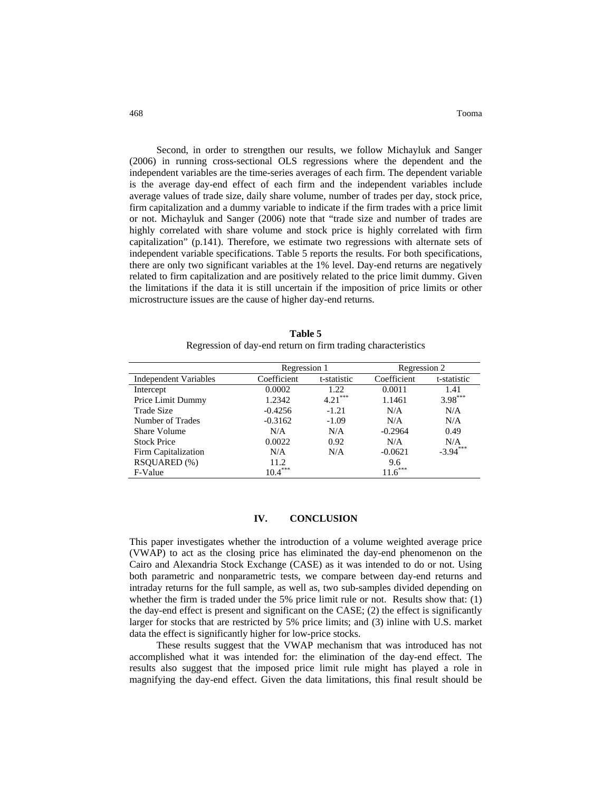Second, in order to strengthen our results, we follow Michayluk and Sanger (2006) in running cross-sectional OLS regressions where the dependent and the independent variables are the time-series averages of each firm. The dependent variable is the average day-end effect of each firm and the independent variables include average values of trade size, daily share volume, number of trades per day, stock price, firm capitalization and a dummy variable to indicate if the firm trades with a price limit or not. Michayluk and Sanger (2006) note that "trade size and number of trades are highly correlated with share volume and stock price is highly correlated with firm capitalization" (p.141). Therefore, we estimate two regressions with alternate sets of independent variable specifications. Table 5 reports the results. For both specifications, there are only two significant variables at the 1% level. Day-end returns are negatively related to firm capitalization and are positively related to the price limit dummy. Given the limitations if the data it is still uncertain if the imposition of price limits or other microstructure issues are the cause of higher day-end returns.

**Table 5**  Regression of day-end return on firm trading characteristics

|                              | Regression 1 |             | Regression 2 |             |  |
|------------------------------|--------------|-------------|--------------|-------------|--|
| <b>Independent Variables</b> | Coefficient  | t-statistic |              | t-statistic |  |
| Intercept                    | 0.0002       | 1.22        | 0.0011       | 1.41        |  |
| Price Limit Dummy            | 1.2342       | $4.21***$   | 1.1461       | $3.98***$   |  |
| Trade Size                   | $-0.4256$    | $-1.21$     | N/A          | N/A         |  |
| Number of Trades             | $-0.3162$    | $-1.09$     | N/A          | N/A         |  |
| Share Volume                 | N/A          | N/A         | $-0.2964$    | 0.49        |  |
| <b>Stock Price</b>           | 0.0022       | 0.92        | N/A          | N/A         |  |
| Firm Capitalization          | N/A          | N/A         | $-0.0621$    | $-3.94***$  |  |
| RSOUARED (%)                 | 11.2         |             | 9.6          |             |  |
| F-Value                      | $10.4***$    |             | $.6***$      |             |  |

# **IV. CONCLUSION**

This paper investigates whether the introduction of a volume weighted average price (VWAP) to act as the closing price has eliminated the day-end phenomenon on the Cairo and Alexandria Stock Exchange (CASE) as it was intended to do or not. Using both parametric and nonparametric tests, we compare between day-end returns and intraday returns for the full sample, as well as, two sub-samples divided depending on whether the firm is traded under the 5% price limit rule or not. Results show that: (1) the day-end effect is present and significant on the CASE; (2) the effect is significantly larger for stocks that are restricted by 5% price limits; and (3) inline with U.S. market data the effect is significantly higher for low-price stocks.

These results suggest that the VWAP mechanism that was introduced has not accomplished what it was intended for: the elimination of the day-end effect. The results also suggest that the imposed price limit rule might has played a role in magnifying the day-end effect. Given the data limitations, this final result should be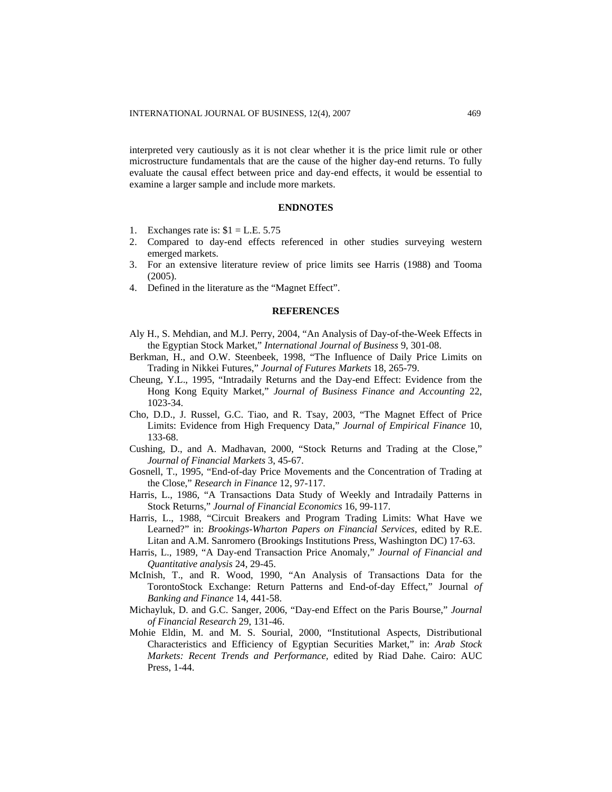interpreted very cautiously as it is not clear whether it is the price limit rule or other microstructure fundamentals that are the cause of the higher day-end returns. To fully evaluate the causal effect between price and day-end effects, it would be essential to examine a larger sample and include more markets.

## **ENDNOTES**

- 1. Exchanges rate is:  $$1 = L.E. 5.75$
- 2. Compared to day-end effects referenced in other studies surveying western emerged markets.
- 3. For an extensive literature review of price limits see Harris (1988) and Tooma (2005).
- 4. Defined in the literature as the "Magnet Effect".

#### **REFERENCES**

- Aly H., S. Mehdian, and M.J. Perry, 2004, "An Analysis of Day-of-the-Week Effects in the Egyptian Stock Market," *International Journal of Business* 9, 301-08.
- Berkman, H., and O.W. Steenbeek, 1998, "The Influence of Daily Price Limits on Trading in Nikkei Futures," *Journal of Futures Markets* 18, 265-79.
- Cheung, Y.L., 1995, "Intradaily Returns and the Day-end Effect: Evidence from the Hong Kong Equity Market," *Journal of Business Finance and Accounting* 22, 1023-34.
- Cho, D.D., J. Russel, G.C. Tiao, and R. Tsay, 2003, "The Magnet Effect of Price Limits: Evidence from High Frequency Data," *Journal of Empirical Finance* 10, 133-68.
- Cushing, D., and A. Madhavan, 2000, "Stock Returns and Trading at the Close," *Journal of Financial Markets* 3, 45-67.
- Gosnell, T., 1995, "End-of-day Price Movements and the Concentration of Trading at the Close," *Research in Finance* 12, 97-117.
- Harris, L., 1986, "A Transactions Data Study of Weekly and Intradaily Patterns in Stock Returns," *Journal of Financial Economics* 16, 99-117.
- Harris, L., 1988, "Circuit Breakers and Program Trading Limits: What Have we Learned?" in: *Brookings-Wharton Papers on Financial Services*, edited by R.E. Litan and A.M. Sanromero (Brookings Institutions Press, Washington DC) 17-63.
- Harris, L., 1989, "A Day-end Transaction Price Anomaly," *Journal of Financial and Quantitative analysis* 24, 29-45.
- McInish, T., and R. Wood, 1990, "An Analysis of Transactions Data for the TorontoStock Exchange: Return Patterns and End-of-day Effect," Journal *of Banking and Finance* 14, 441-58.
- Michayluk, D. and G.C. Sanger, 2006, "Day-end Effect on the Paris Bourse," *Journal of Financial Research* 29, 131-46.
- Mohie Eldin, M. and M. S. Sourial, 2000, "Institutional Aspects, Distributional Characteristics and Efficiency of Egyptian Securities Market," in: *Arab Stock Markets: Recent Trends and Performance,* edited by Riad Dahe. Cairo: AUC Press, 1-44.